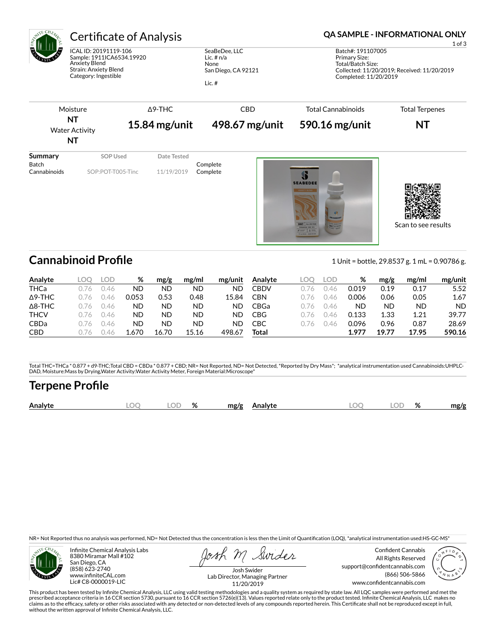

# Certificate of Analysis **Certificate of Analysis QA SAMPLE - INFORMATIONAL ONLY**

ICAL ID: 20191119-106 Sample: 1911ICA6534.19920 Anxiety Blend Strain: Anxiety Blend Category: Ingestible

SeaBeDee, LLC Lic. # n/a None San Diego, CA 92121 Lic. #

1 of 3 Batch#: 191107005 Primary Size: Total/Batch Size: Collected: 11/20/2019; Received: 11/20/2019 Completed: 11/20/2019



Cannabinoid Profile **Cannabinoid Profile** 1 Unit = bottle, 29.8537 g. 1 mL = 0.90786 g.

Scan to see results

| Analyte        | .OC  | LOD  | %     | mg/g  | mg/ml | mg/unit | Analyte     | .OC | LOD | %     | mg/g  | mg/ml     | mg/unit |
|----------------|------|------|-------|-------|-------|---------|-------------|-----|-----|-------|-------|-----------|---------|
| THCa           | 1.76 | ).46 | ΝD    | ND    | ND    | ND      | <b>CBDV</b> | 1/6 | 46  | 0.019 | 0.19  | 0.17      | 5.52    |
| $\Delta$ 9-THC | /6   | 146  | 0.053 | 0.53  | 0.48  | 15.84   | CBN         | 1/6 | 146 | 0.006 | 0.06  | 0.05      | 1.67    |
| $\Delta$ 8-THC | 176  | 146  | ND    | ND    | ND    | ND      | CBGa        | 1/6 | 146 | ND    | ND    | <b>ND</b> | ND.     |
| <b>THCV</b>    | 1/6  | 146  | ND    | ND    | ND    | ND      | CBG         | 1/6 | 146 | 0.133 | 1.33  | 1.21      | 39.77   |
| <b>CBDa</b>    | 16   | 1.46 | ΝD    | ND    | ND    | ND      | CBC         |     |     | 0.096 | 0.96  | 0.87      | 28.69   |
| <b>CBD</b>     | 16   |      | .670  | 16.70 | 15.16 | 498.67  | Total       |     |     | 1.977 | 19.77 | 17.95     | 590.16  |

Total THC=THCa \* 0.877 + d9-THC;Total CBD = CBDa \* 0.877 + CBD; NR= Not Reported, ND= Not Detected, \*Reported by Dry Mass\*; \*analytical instrumentation used Cannabinoids:UHPLC-DAD, Moisture:Mass by Drying,Water Activity:Water Activity Meter, Foreign Material:Microscope\*

## **Terpene Profile**

| OГ<br>Analyte<br>$\Omega$<br>ЭΓ<br>mg/g<br>mg/g<br><b>\nalvte</b><br>7٥<br>70 |
|-------------------------------------------------------------------------------|
|-------------------------------------------------------------------------------|

NR= Not Reported thus no analysis was performed, ND= Not Detected thus the concentration is less then the Limit of Quantification (LOQ), \*analytical instrumentation used:HS-GC-MS\*



Infinite Chemical Analysis Labs 8380 Miramar Mall #102 San Diego, CA (858) 623-2740 www.infiniteCAL.com Lic# C8-0000019-LIC

Swides

Confident Cannabis All Rights Reserved support@confidentcannabis.com (866) 506-5866 www.confidentcannabis.com



Josh Swider Lab Director, Managing Partner 11/20/2019

This product has been tested by Infinite Chemical Analysis, LLC using valid testing methodologies and a quality system as required by state law. All LQC samples were performed and met the prescribed acceptance criteria in 16 CCR section 5730, pursuant to 16 CCR section 5726(e)(13). Values reported relate only to the product tested. Infinite Chemical Analysis, LLC makes no<br>claims as to the efficacy, safety o without the written approval of Infinite Chemical Analysis, LLC.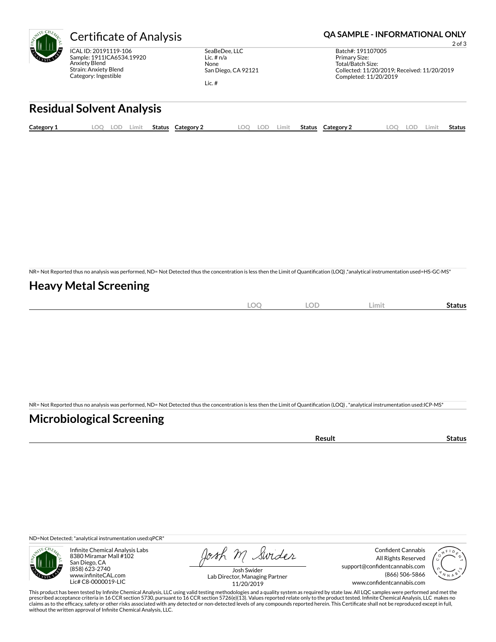

ICAL ID: 20191119-106 Sample: 1911ICA6534.19920 Anxiety Blend Strain: Anxiety Blend Category: Ingestible

SeaBeDee, LLC Lic. # n/a None San Diego, CA 92121

Lic. #

### Certificate of Analysis **Certificate of Analysis QA SAMPLE - INFORMATIONAL ONLY**

2 of 3 Batch#: 191107005 Primary Size: Total/Batch Size: Collected: 11/20/2019; Received: 11/20/2019 Completed: 11/20/2019

# **Residual Solvent Analysis**

| Category: | OO. | .OF | Limit | Status | ⊂ategory <sup>~</sup> | ററ | <b>LOF</b> | Limit. | <b>Status</b> | Category 2 | LOC | LOF. | Limi. | Status |
|-----------|-----|-----|-------|--------|-----------------------|----|------------|--------|---------------|------------|-----|------|-------|--------|
|           |     |     |       |        |                       |    |            |        |               |            |     |      |       |        |

NR= Not Reported thus no analysis was performed, ND= Not Detected thus the concentration is less then the Limit of Quantification (LOQ),\*analytical instrumentation used=HS-GC-MS\*

### **Heavy Metal Screening**

| ∽<br>м<br>$-$<br>$\sim$ | $\sim$ $\sim$<br>w<br>$\sim$ | Limi | Status |
|-------------------------|------------------------------|------|--------|
|                         |                              |      |        |

NR= Not Reported thus no analysis was performed, ND= Not Detected thus the concentration is less then the Limit of Quantification (LOQ), \*analytical instrumentation used:ICP-MS\*

### **Microbiological Screening**

| `≏sult |
|--------|
|--------|

ND=Not Detected; \*analytical instrumentation used:qPCR\*



Infinite Chemical Analysis Labs 8380 Miramar Mall #102 San Diego, CA (858) 623-2740 www.infiniteCAL.com Lic# C8-0000019-LIC

Josh M Swider

Confident Cannabis All Rights Reserved support@confidentcannabis.com (866) 506-5866 www.confidentcannabis.com



Josh Swider Lab Director, Managing Partner 11/20/2019

This product has been tested by Infinite Chemical Analysis, LLC using valid testing methodologies and a quality system as required by state law. All LQC samples were performed and met the prescribed acceptance criteria in 16 CCR section 5730, pursuant to 16 CCR section 5726(e)(13). Values reported relate only to the product tested. Infinite Chemical Analysis, LLC makes no<br>claims as to the efficacy, safety o without the written approval of Infinite Chemical Analysis, LLC.